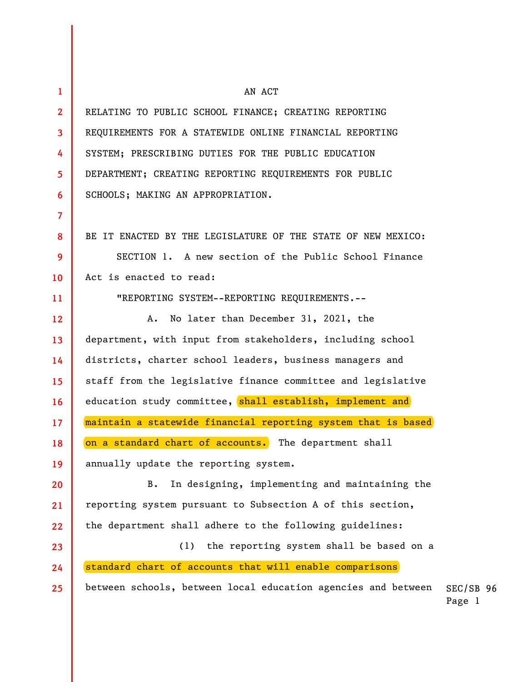SEC/SB 96 Page 1 **1 2 3 4 5 6 7 8 9 10 11 12 13 14 15 16 17 18 19 20 21 22 23 24 25**  AN ACT RELATING TO PUBLIC SCHOOL FINANCE; CREATING REPORTING REQUIREMENTS FOR A STATEWIDE ONLINE FINANCIAL REPORTING SYSTEM; PRESCRIBING DUTIES FOR THE PUBLIC EDUCATION DEPARTMENT; CREATING REPORTING REQUIREMENTS FOR PUBLIC SCHOOLS; MAKING AN APPROPRIATION. BE IT ENACTED BY THE LEGISLATURE OF THE STATE OF NEW MEXICO: SECTION 1. A new section of the Public School Finance Act is enacted to read: "REPORTING SYSTEM--REPORTING REQUIREMENTS.-- A. No later than December 31, 2021, the department, with input from stakeholders, including school districts, charter school leaders, business managers and staff from the legislative finance committee and legislative education study committee, shall establish, implement and maintain a statewide financial reporting system that is based on a standard chart of accounts. The department shall annually update the reporting system. B. In designing, implementing and maintaining the reporting system pursuant to Subsection A of this section, the department shall adhere to the following guidelines: (1) the reporting system shall be based on a standard chart of accounts that will enable comparisons between schools, between local education agencies and between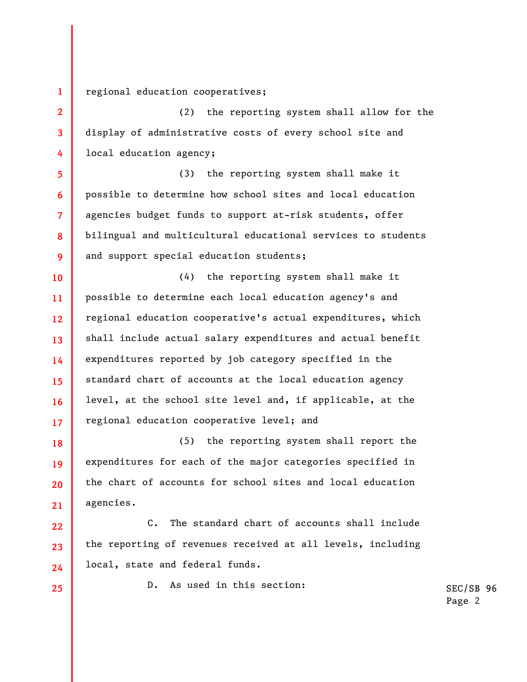regional education cooperatives;

(2) the reporting system shall allow for the display of administrative costs of every school site and local education agency;

**6 8**  (3) the reporting system shall make it possible to determine how school sites and local education agencies budget funds to support at-risk students, offer bilingual and multicultural educational services to students and support special education students;

**10 11 12 13 14 15 16 17**  (4) the reporting system shall make it possible to determine each local education agency's and regional education cooperative's actual expenditures, which shall include actual salary expenditures and actual benefit expenditures reported by job category specified in the standard chart of accounts at the local education agency level, at the school site level and, if applicable, at the regional education cooperative level; and

**18 19 20 21**  (5) the reporting system shall report the expenditures for each of the major categories specified in the chart of accounts for school sites and local education agencies.

**22 23 24**  C. The standard chart of accounts shall include the reporting of revenues received at all levels, including local, state and federal funds.

**25** 

**1** 

**2** 

**3** 

**4** 

**5** 

**7** 

**9** 

D. As used in this section: